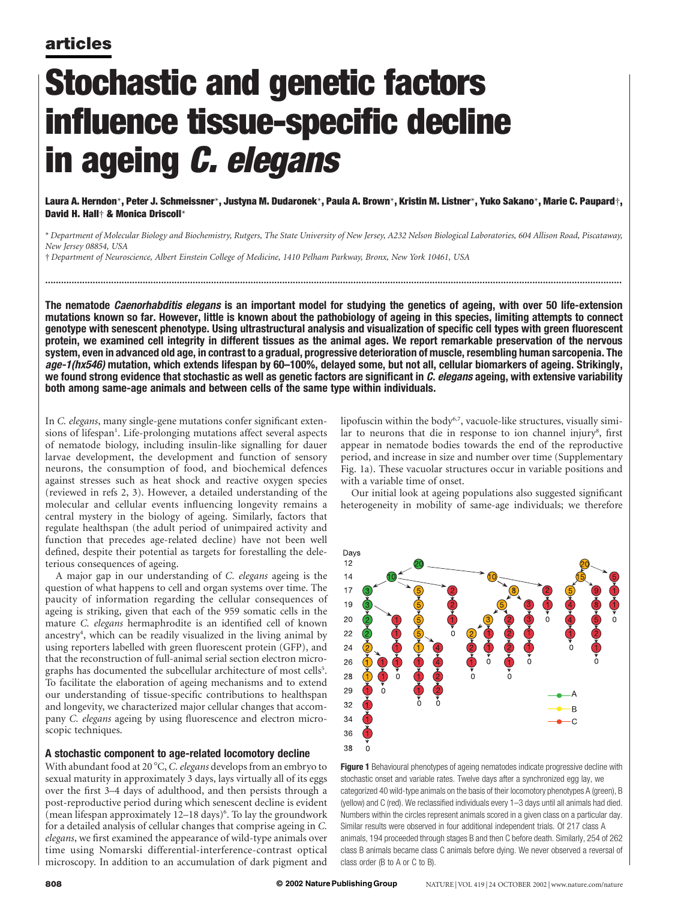# Stochastic and genetic factors influence tissue-specific decline in ageing *C. elegans*

Laura A. Herndon\*, Peter J. Schmeissner\*, Justyna M. Dudaronek\*, Paula A. Brown\*, Kristin M. Listner\*, Yuko Sakano\*, Marie C. Paupard†, David H. Hall† & Monica Driscoll\*

\* Department of Molecular Biology and Biochemistry, Rutgers, The State University of New Jersey, A232 Nelson Biological Laboratories, 604 Allison Road, Piscataway, New Jersey 08854, USA

...........................................................................................................................................................................................................................

† Department of Neuroscience, Albert Einstein College of Medicine, 1410 Pelham Parkway, Bronx, New York 10461, USA

The nematode *Caenorhabditis elegans* is an important model for studying the genetics of ageing, with over 50 life-extension mutations known so far. However, little is known about the pathobiology of ageing in this species, limiting attempts to connect genotype with senescent phenotype. Using ultrastructural analysis and visualization of specific cell types with green fluorescent protein, we examined cell integrity in different tissues as the animal ages. We report remarkable preservation of the nervous system, even in advanced old age, in contrast to a gradual, progressive deterioration of muscle, resembling human sarcopenia. The age-1(hx546) mutation, which extends lifespan by 60–100%, delayed some, but not all, cellular biomarkers of ageing. Strikingly, we found strong evidence that stochastic as well as genetic factors are significant in  $C$ . elegans ageing, with extensive variability both among same-age animals and between cells of the same type within individuals.

In C. elegans, many single-gene mutations confer significant extensions of lifespan<sup>1</sup>. Life-prolonging mutations affect several aspects of nematode biology, including insulin-like signalling for dauer larvae development, the development and function of sensory neurons, the consumption of food, and biochemical defences against stresses such as heat shock and reactive oxygen species (reviewed in refs 2, 3). However, a detailed understanding of the molecular and cellular events influencing longevity remains a central mystery in the biology of ageing. Similarly, factors that regulate healthspan (the adult period of unimpaired activity and function that precedes age-related decline) have not been well defined, despite their potential as targets for forestalling the deleterious consequences of ageing.

A major gap in our understanding of C. elegans ageing is the question of what happens to cell and organ systems over time. The paucity of information regarding the cellular consequences of ageing is striking, given that each of the 959 somatic cells in the mature C. elegans hermaphrodite is an identified cell of known ancestry<sup>4</sup>, which can be readily visualized in the living animal by using reporters labelled with green fluorescent protein (GFP), and that the reconstruction of full-animal serial section electron micrographs has documented the subcellular architecture of most cells<sup>5</sup>. To facilitate the elaboration of ageing mechanisms and to extend our understanding of tissue-specific contributions to healthspan and longevity, we characterized major cellular changes that accompany C. elegans ageing by using fluorescence and electron microscopic techniques.

#### A stochastic component to age-related locomotory decline

With abundant food at 20 $\degree$ C, C. elegans develops from an embryo to sexual maturity in approximately 3 days, lays virtually all of its eggs over the first 3–4 days of adulthood, and then persists through a post-reproductive period during which senescent decline is evident (mean lifespan approximately 12-18 days)<sup>6</sup>. To lay the groundwork for a detailed analysis of cellular changes that comprise ageing in C. elegans, we first examined the appearance of wild-type animals over time using Nomarski differential-interference-contrast optical microscopy. In addition to an accumulation of dark pigment and lipofuscin within the body<sup>6,7</sup>, vacuole-like structures, visually similar to neurons that die in response to ion channel injury<sup>8</sup>, first appear in nematode bodies towards the end of the reproductive period, and increase in size and number over time (Supplementary Fig. 1a). These vacuolar structures occur in variable positions and with a variable time of onset.

Our initial look at ageing populations also suggested significant heterogeneity in mobility of same-age individuals; we therefore



Figure 1 Behavioural phenotypes of ageing nematodes indicate progressive decline with stochastic onset and variable rates. Twelve days after a synchronized egg lay, we categorized 40 wild-type animals on the basis of their locomotory phenotypes A (green), B (yellow) and C (red). We reclassified individuals every 1–3 days until all animals had died. Numbers within the circles represent animals scored in a given class on a particular day. Similar results were observed in four additional independent trials. Of 217 class A animals, 194 proceeded through stages B and then C before death. Similarly, 254 of 262 class B animals became class C animals before dying. We never observed a reversal of class order (B to A or C to B).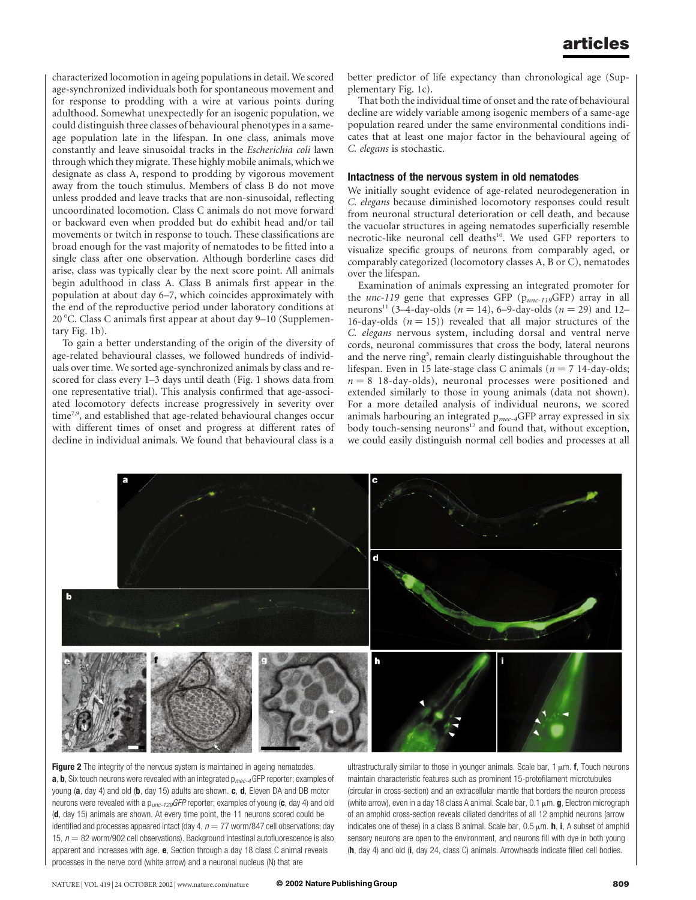characterized locomotion in ageing populations in detail. We scored age-synchronized individuals both for spontaneous movement and for response to prodding with a wire at various points during adulthood. Somewhat unexpectedly for an isogenic population, we could distinguish three classes of behavioural phenotypes in a sameage population late in the lifespan. In one class, animals move constantly and leave sinusoidal tracks in the Escherichia coli lawn through which they migrate. These highly mobile animals, which we designate as class A, respond to prodding by vigorous movement away from the touch stimulus. Members of class B do not move unless prodded and leave tracks that are non-sinusoidal, reflecting uncoordinated locomotion. Class C animals do not move forward or backward even when prodded but do exhibit head and/or tail movements or twitch in response to touch. These classifications are broad enough for the vast majority of nematodes to be fitted into a single class after one observation. Although borderline cases did arise, class was typically clear by the next score point. All animals begin adulthood in class A. Class B animals first appear in the population at about day 6–7, which coincides approximately with the end of the reproductive period under laboratory conditions at 20 8C. Class C animals first appear at about day 9–10 (Supplementary Fig. 1b).

To gain a better understanding of the origin of the diversity of age-related behavioural classes, we followed hundreds of individuals over time. We sorted age-synchronized animals by class and rescored for class every 1–3 days until death (Fig. 1 shows data from one representative trial). This analysis confirmed that age-associated locomotory defects increase progressively in severity over time<sup>7,9</sup>, and established that age-related behavioural changes occur with different times of onset and progress at different rates of decline in individual animals. We found that behavioural class is a

better predictor of life expectancy than chronological age (Supplementary Fig. 1c).

That both the individual time of onset and the rate of behavioural decline are widely variable among isogenic members of a same-age population reared under the same environmental conditions indicates that at least one major factor in the behavioural ageing of C. elegans is stochastic.

#### Intactness of the nervous system in old nematodes

We initially sought evidence of age-related neurodegeneration in C. elegans because diminished locomotory responses could result from neuronal structural deterioration or cell death, and because the vacuolar structures in ageing nematodes superficially resemble necrotic-like neuronal cell deaths<sup>10</sup>. We used GFP reporters to visualize specific groups of neurons from comparably aged, or comparably categorized (locomotory classes A, B or C), nematodes over the lifespan.

Examination of animals expressing an integrated promoter for the  $unc-119$  gene that expresses GFP ( $p_{unc-119}$ GFP) array in all neurons<sup>11</sup> (3–4-day-olds ( $n = 14$ ), 6–9-day-olds ( $n = 29$ ) and 12– 16-day-olds  $(n = 15)$ ) revealed that all major structures of the C. elegans nervous system, including dorsal and ventral nerve cords, neuronal commissures that cross the body, lateral neurons and the nerve ring<sup>5</sup>, remain clearly distinguishable throughout the lifespan. Even in 15 late-stage class C animals ( $n = 7$  14-day-olds;  $n = 8$  18-day-olds), neuronal processes were positioned and extended similarly to those in young animals (data not shown). For a more detailed analysis of individual neurons, we scored animals harbouring an integrated  $p_{mec-4}GFP$  array expressed in six body touch-sensing neurons<sup>12</sup> and found that, without exception, we could easily distinguish normal cell bodies and processes at all



Figure 2 The integrity of the nervous system is maintained in ageing nematodes. **a**, **b**, Six touch neurons were revealed with an integrated  $p_{mec-4}$ GFP reporter; examples of young (a, day 4) and old (b, day 15) adults are shown.  $c$ ,  $d$ , Eleven DA and DB motor neurons were revealed with a  $p_{\text{unc-129}}$ GFP reporter; examples of young (c, day 4) and old (d, day 15) animals are shown. At every time point, the 11 neurons scored could be identified and processes appeared intact (day 4,  $n = 77$  worm/847 cell observations; day 15,  $n = 82$  worm/902 cell observations). Background intestinal autofluorescence is also apparent and increases with age. e, Section through a day 18 class C animal reveals processes in the nerve cord (white arrow) and a neuronal nucleus (N) that are

ultrastructurally similar to those in younger animals. Scale bar, 1  $\mu$ m. f, Touch neurons maintain characteristic features such as prominent 15-protofilament microtubules (circular in cross-section) and an extracellular mantle that borders the neuron process (white arrow), even in a day 18 class A animal. Scale bar,  $0.1 \mu m$ . **g**, Electron micrograph of an amphid cross-section reveals ciliated dendrites of all 12 amphid neurons (arrow indicates one of these) in a class B animal. Scale bar,  $0.5 \mu m$ . **h**, **i**, A subset of amphid sensory neurons are open to the environment, and neurons fill with dye in both young (h, day 4) and old (i, day 24, class C) animals. Arrowheads indicate filled cell bodies.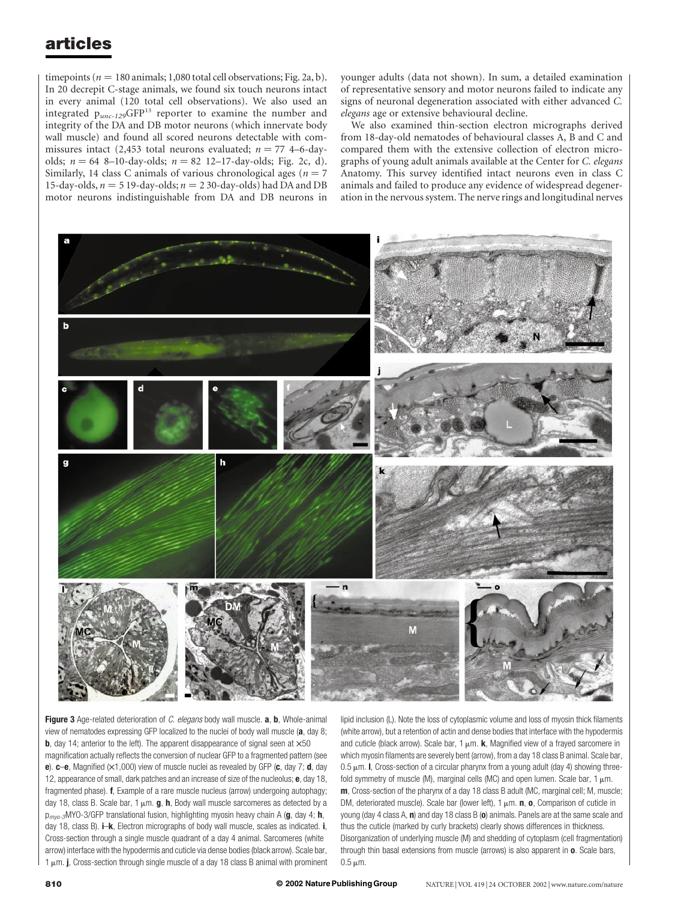timepoints ( $n = 180$  animals; 1,080 total cell observations; Fig. 2a, b). In 20 decrepit C-stage animals, we found six touch neurons intact in every animal (120 total cell observations). We also used an integrated  $p_{unc-129}GFP^{13}$  reporter to examine the number and integrity of the DA and DB motor neurons (which innervate body wall muscle) and found all scored neurons detectable with commissures intact (2,453 total neurons evaluated;  $n = 77$  4–6-dayolds;  $n = 64$  8–10-day-olds;  $n = 82$  12–17-day-olds; Fig. 2c, d). Similarly, 14 class C animals of various chronological ages ( $n = 7$ ) 15-day-olds,  $n = 5$  19-day-olds;  $n = 2$  30-day-olds) had DA and DB motor neurons indistinguishable from DA and DB neurons in

younger adults (data not shown). In sum, a detailed examination of representative sensory and motor neurons failed to indicate any signs of neuronal degeneration associated with either advanced C. elegans age or extensive behavioural decline.

We also examined thin-section electron micrographs derived from 18-day-old nematodes of behavioural classes A, B and C and compared them with the extensive collection of electron micrographs of young adult animals available at the Center for C. elegans Anatomy. This survey identified intact neurons even in class C animals and failed to produce any evidence of widespread degeneration in the nervous system. The nerve rings and longitudinal nerves



Figure 3 Age-related deterioration of C. elegans body wall muscle. a, b, Whole-animal view of nematodes expressing GFP localized to the nuclei of body wall muscle (a, day 8; **b**, day 14; anterior to the left). The apparent disappearance of signal seen at  $\times$ 50

magnification actually reflects the conversion of nuclear GFP to a fragmented pattern (see e).  $c-e$ , Magnified ( $\times$ 1,000) view of muscle nuclei as revealed by GFP (c, day 7; d, day 12, appearance of small, dark patches and an increase of size of the nucleolus; e, day 18, fragmented phase). f, Example of a rare muscle nucleus (arrow) undergoing autophagy; day 18, class B. Scale bar, 1  $\mu$ m. **g**, **h**, Body wall muscle sarcomeres as detected by a  $p_{m\nu 0}$ -3MYO-3/GFP translational fusion, highlighting myosin heavy chain A (g, day 4; h, day 18, class B). **i–k**, Electron micrographs of body wall muscle, scales as indicated. **i**, Cross-section through a single muscle quadrant of a day 4 animal. Sarcomeres (white arrow) interface with the hypodermis and cuticle via dense bodies (black arrow). Scale bar,  $1 \mu$ m. j, Cross-section through single muscle of a day 18 class B animal with prominent

lipid inclusion (L). Note the loss of cytoplasmic volume and loss of myosin thick filaments (white arrow), but a retention of actin and dense bodies that interface with the hypodermis and cuticle (black arrow). Scale bar, 1  $\mu$ m. k, Magnified view of a frayed sarcomere in which myosin filaments are severely bent (arrow), from a day 18 class B animal. Scale bar,  $0.5 \mu$ m. I, Cross-section of a circular pharynx from a young adult (day 4) showing threefold symmetry of muscle (M), marginal cells (MC) and open lumen. Scale bar,  $1 \mu m$ . m, Cross-section of the pharynx of a day 18 class B adult (MC, marginal cell; M, muscle; DM, deteriorated muscle). Scale bar (lower left), 1  $\mu$ m. **n**, **o**, Comparison of cuticle in young (day 4 class A,  $\mathbf{n}$ ) and day 18 class B ( $\mathbf{o}$ ) animals. Panels are at the same scale and thus the cuticle (marked by curly brackets) clearly shows differences in thickness. Disorganization of underlying muscle (M) and shedding of cytoplasm (cell fragmentation) through thin basal extensions from muscle (arrows) is also apparent in  $\mathbf{o}$ . Scale bars,  $0.5 \mu m$ .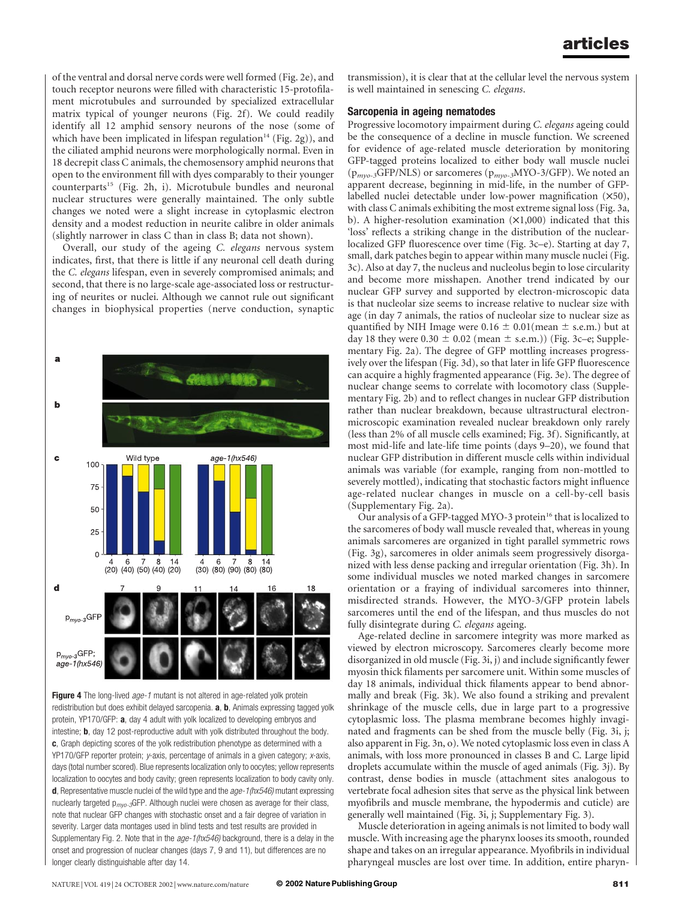of the ventral and dorsal nerve cords were well formed (Fig. 2e), and touch receptor neurons were filled with characteristic 15-protofilament microtubules and surrounded by specialized extracellular matrix typical of younger neurons (Fig. 2f). We could readily identify all 12 amphid sensory neurons of the nose (some of which have been implicated in lifespan regulation<sup>14</sup> (Fig. 2g)), and the ciliated amphid neurons were morphologically normal. Even in 18 decrepit class C animals, the chemosensory amphid neurons that open to the environment fill with dyes comparably to their younger counterparts<sup>15</sup> (Fig. 2h, i). Microtubule bundles and neuronal nuclear structures were generally maintained. The only subtle changes we noted were a slight increase in cytoplasmic electron density and a modest reduction in neurite calibre in older animals (slightly narrower in class C than in class B; data not shown).

Overall, our study of the ageing C. elegans nervous system indicates, first, that there is little if any neuronal cell death during the C. elegans lifespan, even in severely compromised animals; and second, that there is no large-scale age-associated loss or restructuring of neurites or nuclei. Although we cannot rule out significant changes in biophysical properties (nerve conduction, synaptic



Figure 4 The long-lived *age-1* mutant is not altered in age-related yolk protein redistribution but does exhibit delayed sarcopenia. a, b, Animals expressing tagged yolk protein, YP170/GFP: a, day 4 adult with yolk localized to developing embryos and intestine; **b**, day 12 post-reproductive adult with yolk distributed throughout the body. c, Graph depicting scores of the yolk redistribution phenotype as determined with a YP170/GFP reporter protein; y-axis, percentage of animals in a given category; x-axis, days (total number scored). Blue represents localization only to oocytes; yellow represents localization to oocytes and body cavity; green represents localization to body cavity only. **d**, Representative muscle nuclei of the wild type and the  $age-1(hx546)$  mutant expressing nuclearly targeted  $p_{\text{mvo-3}}$ GFP. Although nuclei were chosen as average for their class, note that nuclear GFP changes with stochastic onset and a fair degree of variation in severity. Larger data montages used in blind tests and test results are provided in Supplementary Fig. 2. Note that in the age-1(hx546) background, there is a delay in the onset and progression of nuclear changes (days 7, 9 and 11), but differences are no longer clearly distinguishable after day 14.

transmission), it is clear that at the cellular level the nervous system is well maintained in senescing C. elegans.

## Sarcopenia in ageing nematodes

Progressive locomotory impairment during C. elegans ageing could be the consequence of a decline in muscle function. We screened for evidence of age-related muscle deterioration by monitoring GFP-tagged proteins localized to either body wall muscle nuclei  $(p_{\text{myo-3}}GFP/NLS)$  or sarcomeres  $(p_{\text{myo-3}}MYO-3/GFP)$ . We noted an apparent decrease, beginning in mid-life, in the number of GFPlabelled nuclei detectable under low-power magnification  $(X50)$ , with class C animals exhibiting the most extreme signal loss (Fig. 3a, b). A higher-resolution examination  $(X1,000)$  indicated that this 'loss' reflects a striking change in the distribution of the nuclearlocalized GFP fluorescence over time (Fig. 3c–e). Starting at day 7, small, dark patches begin to appear within many muscle nuclei (Fig. 3c). Also at day 7, the nucleus and nucleolus begin to lose circularity and become more misshapen. Another trend indicated by our nuclear GFP survey and supported by electron-microscopic data is that nucleolar size seems to increase relative to nuclear size with age (in day 7 animals, the ratios of nucleolar size to nuclear size as quantified by NIH Image were  $0.16 \pm 0.01$ (mean  $\pm$  s.e.m.) but at day 18 they were  $0.30 \pm 0.02$  (mean  $\pm$  s.e.m.)) (Fig. 3c–e; Supplementary Fig. 2a). The degree of GFP mottling increases progressively over the lifespan (Fig. 3d), so that later in life GFP fluorescence can acquire a highly fragmented appearance (Fig. 3e). The degree of nuclear change seems to correlate with locomotory class (Supplementary Fig. 2b) and to reflect changes in nuclear GFP distribution rather than nuclear breakdown, because ultrastructural electronmicroscopic examination revealed nuclear breakdown only rarely (less than 2% of all muscle cells examined; Fig. 3f). Significantly, at most mid-life and late-life time points (days 9–20), we found that nuclear GFP distribution in different muscle cells within individual animals was variable (for example, ranging from non-mottled to severely mottled), indicating that stochastic factors might influence age-related nuclear changes in muscle on a cell-by-cell basis (Supplementary Fig. 2a).

Our analysis of a GFP-tagged MYO-3 protein<sup>16</sup> that is localized to the sarcomeres of body wall muscle revealed that, whereas in young animals sarcomeres are organized in tight parallel symmetric rows (Fig. 3g), sarcomeres in older animals seem progressively disorganized with less dense packing and irregular orientation (Fig. 3h). In some individual muscles we noted marked changes in sarcomere orientation or a fraying of individual sarcomeres into thinner, misdirected strands. However, the MYO-3/GFP protein labels sarcomeres until the end of the lifespan, and thus muscles do not fully disintegrate during C. elegans ageing.

Age-related decline in sarcomere integrity was more marked as viewed by electron microscopy. Sarcomeres clearly become more disorganized in old muscle (Fig. 3i, j) and include significantly fewer myosin thick filaments per sarcomere unit. Within some muscles of day 18 animals, individual thick filaments appear to bend abnormally and break (Fig. 3k). We also found a striking and prevalent shrinkage of the muscle cells, due in large part to a progressive cytoplasmic loss. The plasma membrane becomes highly invaginated and fragments can be shed from the muscle belly (Fig. 3i, j; also apparent in Fig. 3n, o). We noted cytoplasmic loss even in class A animals, with loss more pronounced in classes B and C. Large lipid droplets accumulate within the muscle of aged animals (Fig. 3j). By contrast, dense bodies in muscle (attachment sites analogous to vertebrate focal adhesion sites that serve as the physical link between myofibrils and muscle membrane, the hypodermis and cuticle) are generally well maintained (Fig. 3i, j; Supplementary Fig. 3).

Muscle deterioration in ageing animals is not limited to body wall muscle. With increasing age the pharynx looses its smooth, rounded shape and takes on an irregular appearance. Myofibrils in individual pharyngeal muscles are lost over time. In addition, entire pharyn-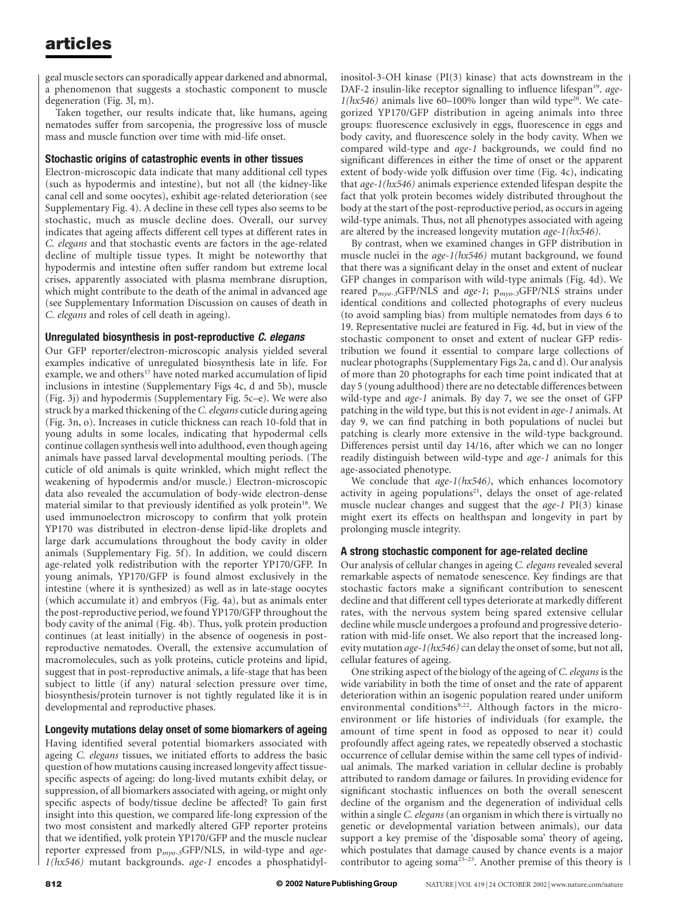geal muscle sectors can sporadically appear darkened and abnormal, a phenomenon that suggests a stochastic component to muscle degeneration (Fig. 3l, m).

Taken together, our results indicate that, like humans, ageing nematodes suffer from sarcopenia, the progressive loss of muscle mass and muscle function over time with mid-life onset.

## Stochastic origins of catastrophic events in other tissues

Electron-microscopic data indicate that many additional cell types (such as hypodermis and intestine), but not all (the kidney-like canal cell and some oocytes), exhibit age-related deterioration (see Supplementary Fig. 4). A decline in these cell types also seems to be stochastic, much as muscle decline does. Overall, our survey indicates that ageing affects different cell types at different rates in C. elegans and that stochastic events are factors in the age-related decline of multiple tissue types. It might be noteworthy that hypodermis and intestine often suffer random but extreme local crises, apparently associated with plasma membrane disruption, which might contribute to the death of the animal in advanced age (see Supplementary Information Discussion on causes of death in C. elegans and roles of cell death in ageing).

## Unregulated biosynthesis in post-reproductive C. elegans

Our GFP reporter/electron-microscopic analysis yielded several examples indicative of unregulated biosynthesis late in life. For example, we and others<sup>17</sup> have noted marked accumulation of lipid inclusions in intestine (Supplementary Figs 4c, d and 5b), muscle (Fig. 3j) and hypodermis (Supplementary Fig. 5c–e). We were also struck by a marked thickening of the C. elegans cuticle during ageing (Fig. 3n, o). Increases in cuticle thickness can reach 10-fold that in young adults in some locales, indicating that hypodermal cells continue collagen synthesis well into adulthood, even though ageing animals have passed larval developmental moulting periods. (The cuticle of old animals is quite wrinkled, which might reflect the weakening of hypodermis and/or muscle.) Electron-microscopic data also revealed the accumulation of body-wide electron-dense material similar to that previously identified as yolk protein<sup>18</sup>. We used immunoelectron microscopy to confirm that yolk protein YP170 was distributed in electron-dense lipid-like droplets and large dark accumulations throughout the body cavity in older animals (Supplementary Fig. 5f). In addition, we could discern age-related yolk redistribution with the reporter YP170/GFP. In young animals, YP170/GFP is found almost exclusively in the intestine (where it is synthesized) as well as in late-stage oocytes (which accumulate it) and embryos (Fig. 4a), but as animals enter the post-reproductive period, we found YP170/GFP throughout the body cavity of the animal (Fig. 4b). Thus, yolk protein production continues (at least initially) in the absence of oogenesis in postreproductive nematodes. Overall, the extensive accumulation of macromolecules, such as yolk proteins, cuticle proteins and lipid, suggest that in post-reproductive animals, a life-stage that has been subject to little (if any) natural selection pressure over time, biosynthesis/protein turnover is not tightly regulated like it is in developmental and reproductive phases.

## Longevity mutations delay onset of some biomarkers of ageing

Having identified several potential biomarkers associated with ageing C. elegans tissues, we initiated efforts to address the basic question of how mutations causing increased longevity affect tissuespecific aspects of ageing: do long-lived mutants exhibit delay, or suppression, of all biomarkers associated with ageing, or might only specific aspects of body/tissue decline be affected? To gain first insight into this question, we compared life-long expression of the two most consistent and markedly altered GFP reporter proteins that we identified, yolk protein YP170/GFP and the muscle nuclear reporter expressed from  $p_{mvo-3}$ GFP/NLS, in wild-type and age-1(hx546) mutant backgrounds. age-1 encodes a phosphatidylinositol-3-OH kinase (PI(3) kinase) that acts downstream in the DAF-2 insulin-like receptor signalling to influence lifespan<sup>19</sup>. age- $1(hx546)$  animals live 60–100% longer than wild type<sup>20</sup>. We categorized YP170/GFP distribution in ageing animals into three groups: fluorescence exclusively in eggs, fluorescence in eggs and body cavity, and fluorescence solely in the body cavity. When we compared wild-type and age-1 backgrounds, we could find no significant differences in either the time of onset or the apparent extent of body-wide yolk diffusion over time (Fig. 4c), indicating that age-1(hx546) animals experience extended lifespan despite the fact that yolk protein becomes widely distributed throughout the body at the start of the post-reproductive period, as occurs in ageing wild-type animals. Thus, not all phenotypes associated with ageing are altered by the increased longevity mutation age-1(hx546).

By contrast, when we examined changes in GFP distribution in muscle nuclei in the age-1(hx546) mutant background, we found that there was a significant delay in the onset and extent of nuclear GFP changes in comparison with wild-type animals (Fig. 4d). We reared  $p_{myo-3}GFP/NLS$  and age-1;  $p_{myo-3}GFP/NLS$  strains under identical conditions and collected photographs of every nucleus (to avoid sampling bias) from multiple nematodes from days 6 to 19. Representative nuclei are featured in Fig. 4d, but in view of the stochastic component to onset and extent of nuclear GFP redistribution we found it essential to compare large collections of nuclear photographs (Supplementary Figs 2a, c and d). Our analysis of more than 20 photographs for each time point indicated that at day 5 (young adulthood) there are no detectable differences between wild-type and *age-1* animals. By day 7, we see the onset of GFP patching in the wild type, but this is not evident in age-1 animals. At day 9, we can find patching in both populations of nuclei but patching is clearly more extensive in the wild-type background. Differences persist until day 14/16, after which we can no longer readily distinguish between wild-type and age-1 animals for this age-associated phenotype.

We conclude that  $age-1(hx546)$ , which enhances locomotory activity in ageing populations<sup>21</sup>, delays the onset of age-related muscle nuclear changes and suggest that the age-1 PI(3) kinase might exert its effects on healthspan and longevity in part by prolonging muscle integrity.

## A strong stochastic component for age-related decline

Our analysis of cellular changes in ageing C. elegans revealed several remarkable aspects of nematode senescence. Key findings are that stochastic factors make a significant contribution to senescent decline and that different cell types deteriorate at markedly different rates, with the nervous system being spared extensive cellular decline while muscle undergoes a profound and progressive deterioration with mid-life onset. We also report that the increased longevity mutation  $age-1(hx546)$  can delay the onset of some, but not all, cellular features of ageing.

One striking aspect of the biology of the ageing of C. elegans is the wide variability in both the time of onset and the rate of apparent deterioration within an isogenic population reared under uniform environmental conditions<sup>9,22</sup>. Although factors in the microenvironment or life histories of individuals (for example, the amount of time spent in food as opposed to near it) could profoundly affect ageing rates, we repeatedly observed a stochastic occurrence of cellular demise within the same cell types of individual animals. The marked variation in cellular decline is probably attributed to random damage or failures. In providing evidence for significant stochastic influences on both the overall senescent decline of the organism and the degeneration of individual cells within a single *C. elegans* (an organism in which there is virtually no genetic or developmental variation between animals), our data support a key premise of the 'disposable soma' theory of ageing, which postulates that damage caused by chance events is a major contributor to ageing soma<sup>23-25</sup>. Another premise of this theory is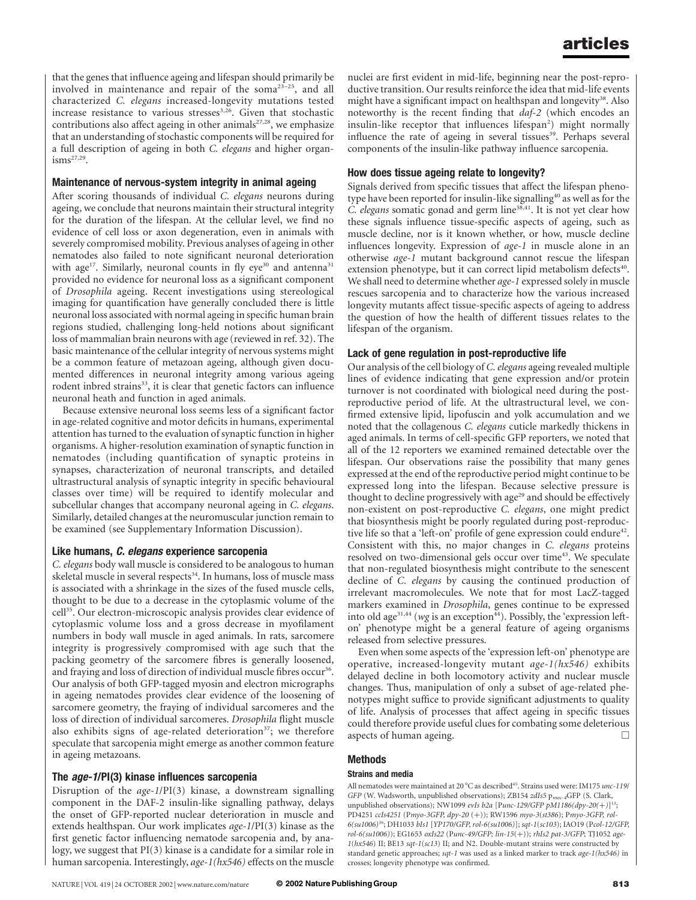that the genes that influence ageing and lifespan should primarily be involved in maintenance and repair of the soma23–25, and all characterized C. elegans increased-longevity mutations tested increase resistance to various stresses<sup>3,26</sup>. Given that stochastic contributions also affect ageing in other animals $27,28$ , we emphasize that an understanding of stochastic components will be required for a full description of ageing in both C. elegans and higher organ $i$ sms $^{27,29}$ .

#### Maintenance of nervous-system integrity in animal ageing

After scoring thousands of individual C. elegans neurons during ageing, we conclude that neurons maintain their structural integrity for the duration of the lifespan. At the cellular level, we find no evidence of cell loss or axon degeneration, even in animals with severely compromised mobility. Previous analyses of ageing in other nematodes also failed to note significant neuronal deterioration with age<sup>17</sup>. Similarly, neuronal counts in fly eye<sup>30</sup> and antenna<sup>31</sup> provided no evidence for neuronal loss as a significant component of Drosophila ageing. Recent investigations using stereological imaging for quantification have generally concluded there is little neuronal loss associated with normal ageing in specific human brain regions studied, challenging long-held notions about significant loss of mammalian brain neurons with age (reviewed in ref. 32). The basic maintenance of the cellular integrity of nervous systems might be a common feature of metazoan ageing, although given documented differences in neuronal integrity among various ageing rodent inbred strains<sup>33</sup>, it is clear that genetic factors can influence neuronal heath and function in aged animals.

Because extensive neuronal loss seems less of a significant factor in age-related cognitive and motor deficits in humans, experimental attention has turned to the evaluation of synaptic function in higher organisms. A higher-resolution examination of synaptic function in nematodes (including quantification of synaptic proteins in synapses, characterization of neuronal transcripts, and detailed ultrastructural analysis of synaptic integrity in specific behavioural classes over time) will be required to identify molecular and subcellular changes that accompany neuronal ageing in C. elegans. Similarly, detailed changes at the neuromuscular junction remain to be examined (see Supplementary Information Discussion).

## Like humans, C. elegans experience sarcopenia

C. elegans body wall muscle is considered to be analogous to human skeletal muscle in several respects<sup>34</sup>. In humans, loss of muscle mass is associated with a shrinkage in the sizes of the fused muscle cells, thought to be due to a decrease in the cytoplasmic volume of the cell<sup>35</sup>. Our electron-microscopic analysis provides clear evidence of cytoplasmic volume loss and a gross decrease in myofilament numbers in body wall muscle in aged animals. In rats, sarcomere integrity is progressively compromised with age such that the packing geometry of the sarcomere fibres is generally loosened, and fraying and loss of direction of individual muscle fibres occur<sup>36</sup>. Our analysis of both GFP-tagged myosin and electron micrographs in ageing nematodes provides clear evidence of the loosening of sarcomere geometry, the fraying of individual sarcomeres and the loss of direction of individual sarcomeres. Drosophila flight muscle also exhibits signs of age-related deterioration<sup>37</sup>; we therefore speculate that sarcopenia might emerge as another common feature in ageing metazoans.

## The age-1/PI(3) kinase influences sarcopenia

Disruption of the age-1/PI(3) kinase, a downstream signalling component in the DAF-2 insulin-like signalling pathway, delays the onset of GFP-reported nuclear deterioration in muscle and extends healthspan. Our work implicates age-1/PI(3) kinase as the first genetic factor influencing nematode sarcopenia and, by analogy, we suggest that PI(3) kinase is a candidate for a similar role in human sarcopenia. Interestingly, age-1(hx546) effects on the muscle

nuclei are first evident in mid-life, beginning near the post-reproductive transition. Our results reinforce the idea that mid-life events might have a significant impact on healthspan and longevity<sup>38</sup>. Also noteworthy is the recent finding that daf-2 (which encodes an insulin-like receptor that influences lifespan<sup>2</sup>) might normally influence the rate of ageing in several tissues<sup>39</sup>. Perhaps several components of the insulin-like pathway influence sarcopenia.

## How does tissue ageing relate to longevity?

Signals derived from specific tissues that affect the lifespan phenotype have been reported for insulin-like signalling<sup>40</sup> as well as for the C. elegans somatic gonad and germ line<sup>38,41</sup>. It is not yet clear how these signals influence tissue-specific aspects of ageing, such as muscle decline, nor is it known whether, or how, muscle decline influences longevity. Expression of age-1 in muscle alone in an otherwise age-1 mutant background cannot rescue the lifespan extension phenotype, but it can correct lipid metabolism defects<sup>40</sup>. We shall need to determine whether age-1 expressed solely in muscle rescues sarcopenia and to characterize how the various increased longevity mutants affect tissue-specific aspects of ageing to address the question of how the health of different tissues relates to the lifespan of the organism.

## Lack of gene regulation in post-reproductive life

Our analysis of the cell biology of C. elegans ageing revealed multiple lines of evidence indicating that gene expression and/or protein turnover is not coordinated with biological need during the postreproductive period of life. At the ultrastructural level, we confirmed extensive lipid, lipofuscin and yolk accumulation and we noted that the collagenous C. elegans cuticle markedly thickens in aged animals. In terms of cell-specific GFP reporters, we noted that all of the 12 reporters we examined remained detectable over the lifespan. Our observations raise the possibility that many genes expressed at the end of the reproductive period might continue to be expressed long into the lifespan. Because selective pressure is thought to decline progressively with age<sup>29</sup> and should be effectively non-existent on post-reproductive C. elegans, one might predict that biosynthesis might be poorly regulated during post-reproductive life so that a 'left-on' profile of gene expression could endure<sup>42</sup>. Consistent with this, no major changes in C. elegans proteins resolved on two-dimensional gels occur over time<sup>43</sup>. We speculate that non-regulated biosynthesis might contribute to the senescent decline of C. elegans by causing the continued production of irrelevant macromolecules. We note that for most LacZ-tagged markers examined in Drosophila, genes continue to be expressed into old age<sup>31,44</sup> (wg is an exception<sup>44</sup>). Possibly, the 'expression lefton' phenotype might be a general feature of ageing organisms released from selective pressures.

Even when some aspects of the 'expression left-on' phenotype are operative, increased-longevity mutant age-1(hx546) exhibits delayed decline in both locomotory activity and nuclear muscle changes. Thus, manipulation of only a subset of age-related phenotypes might suffice to provide significant adjustments to quality of life. Analysis of processes that affect ageing in specific tissues could therefore provide useful clues for combating some deleterious aspects of human ageing.  $\Box$ 

## Methods

#### Strains and media

All nematodes were maintained at 20 $^{\circ}$ C as described<sup>45</sup>. Strains used were: IM175 unc-119/ GFP (W. Wadsworth, unpublished observations); ZB154 zdIs5 p<sub>mec-4</sub>GFP (S. Clark, unpublished observations); NW1099 evIs b2a [Punc-129/GFP pM1186(dpy-20(+)]<sup>13</sup>; PD4251 ccIs4251 (Pmyo-3GFP, dpy-20 (+)); RW1596 myo-3(st386); Pmyo-3GFP, rol-6(su1006)16; DH1033 bIs1 [YP170/GFP, rol-6(su1006)]; sqt-1(sc103); IAO19 (Pcol-12/GFP, rol-6(su1006)); EG1653 oxIs22 (Punc-49/GFP; lin-15(þ)); rhIs2 pat-3/GFP; TJ1052 age- $1(hx546)$  II; BE13 sqt-1(sc13) II; and N2. Double-mutant strains were constructed by standard genetic approaches;  $sqt-1$  was used as a linked marker to track  $age-1(hx546)$  in crosses; longevity phenotype was confirmed.